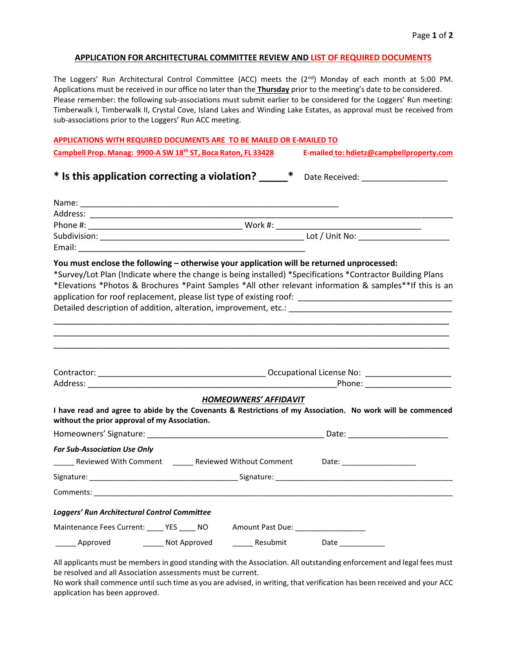#### **APPLICATION FOR ARCHITECTURAL COMMITTEE REVIEW AND LIST OF REQUIRED DOCUMENTS**

The Loggers' Run Architectural Control Committee (ACC) meets the  $(2^{nd})$  Monday of each month at 5:00 PM. Applications must be received in our office no later than the **Thursday** prior to the meeting's date to be considered. Please remember: the following sub-associations must submit earlier to be considered for the Loggers' Run meeting: Timberwalk I, Timberwalk II, Crystal Cove, Island Lakes and Winding Lake Estates, as approval must be received from sub-associations prior to the Loggers' Run ACC meeting.

| APPLICATIONS WITH REQUIRED DOCUMENTS ARE TO BE MAILED OR E-MAILED TO      |                                          |
|---------------------------------------------------------------------------|------------------------------------------|
| Campbell Prop. Manag: 9900-A SW 18 <sup>th</sup> ST, Boca Raton, FL 33428 | E-mailed to: hdietz@campbellproperty.com |

### \* Is this application correcting a violation? \_\_\_\_\_\* Date Received: \_\_\_\_\_\_\_\_\_\_\_\_\_

| You must enclose the following - otherwise your application will be returned unprocessed:<br>*Survey/Lot Plan (Indicate where the change is being installed) *Specifications *Contractor Building Plans<br>*Elevations *Photos & Brochures *Paint Samples *All other relevant information & samples**If this is an |  |                              |  |  |
|--------------------------------------------------------------------------------------------------------------------------------------------------------------------------------------------------------------------------------------------------------------------------------------------------------------------|--|------------------------------|--|--|
|                                                                                                                                                                                                                                                                                                                    |  |                              |  |  |
|                                                                                                                                                                                                                                                                                                                    |  |                              |  |  |
|                                                                                                                                                                                                                                                                                                                    |  | <b>HOMEOWNERS' AFFIDAVIT</b> |  |  |
| I have read and agree to abide by the Covenants & Restrictions of my Association. No work will be commenced<br>without the prior approval of my Association.                                                                                                                                                       |  |                              |  |  |
|                                                                                                                                                                                                                                                                                                                    |  |                              |  |  |
| <b>For Sub-Association Use Only</b>                                                                                                                                                                                                                                                                                |  |                              |  |  |
|                                                                                                                                                                                                                                                                                                                    |  |                              |  |  |
|                                                                                                                                                                                                                                                                                                                    |  |                              |  |  |
|                                                                                                                                                                                                                                                                                                                    |  |                              |  |  |
| Loggers' Run Architectural Control Committee                                                                                                                                                                                                                                                                       |  |                              |  |  |
| Maintenance Fees Current: ____ YES ____ NO Amount Past Due: ____________________                                                                                                                                                                                                                                   |  |                              |  |  |
| ______ Approved _________ Not Approved                                                                                                                                                                                                                                                                             |  | Resubmit Date                |  |  |

All applicants must be members in good standing with the Association. All outstanding enforcement and legal fees must be resolved and all Association assessments must be current.

No work shall commence until such time as you are advised, in writing, that verification has been received and your ACC application has been approved.